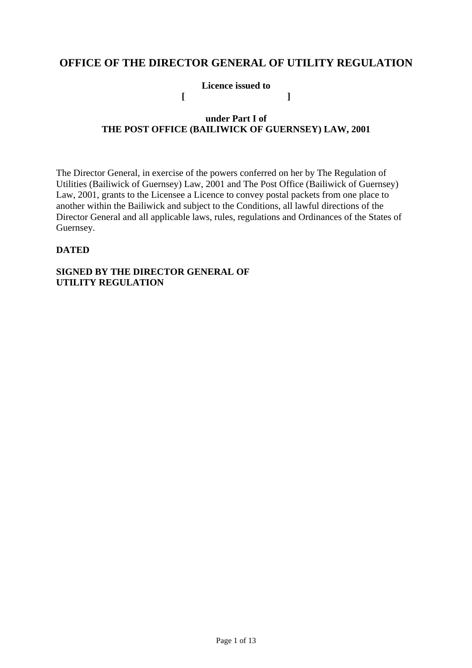# **OFFICE OF THE DIRECTOR GENERAL OF UTILITY REGULATION**

**Licence issued to [ ]** 

## **under Part I of THE POST OFFICE (BAILIWICK OF GUERNSEY) LAW, 2001**

The Director General, in exercise of the powers conferred on her by The Regulation of Utilities (Bailiwick of Guernsey) Law, 2001 and The Post Office (Bailiwick of Guernsey) Law, 2001, grants to the Licensee a Licence to convey postal packets from one place to another within the Bailiwick and subject to the Conditions, all lawful directions of the Director General and all applicable laws, rules, regulations and Ordinances of the States of Guernsey.

## **DATED**

### **SIGNED BY THE DIRECTOR GENERAL OF UTILITY REGULATION**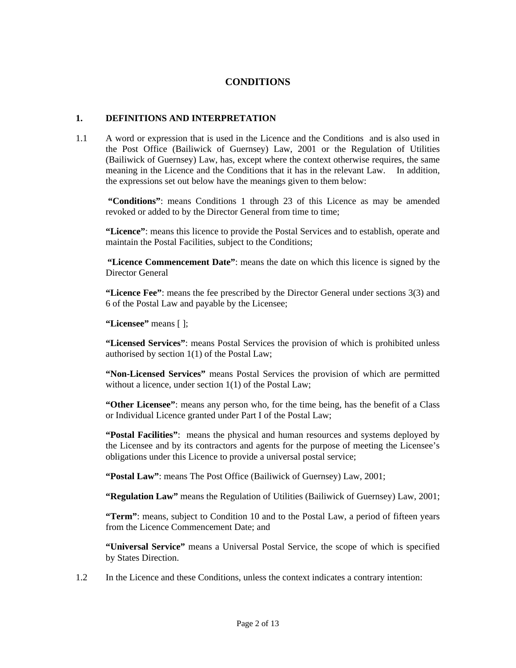### **CONDITIONS**

#### **1. DEFINITIONS AND INTERPRETATION**

1.1 A word or expression that is used in the Licence and the Conditions and is also used in the Post Office (Bailiwick of Guernsey) Law, 2001 or the Regulation of Utilities (Bailiwick of Guernsey) Law, has, except where the context otherwise requires, the same meaning in the Licence and the Conditions that it has in the relevant Law. In addition, the expressions set out below have the meanings given to them below:

 **"Conditions"**: means Conditions 1 through 23 of this Licence as may be amended revoked or added to by the Director General from time to time;

**"Licence"**: means this licence to provide the Postal Services and to establish, operate and maintain the Postal Facilities, subject to the Conditions;

**"Licence Commencement Date"**: means the date on which this licence is signed by the Director General

**"Licence Fee"**: means the fee prescribed by the Director General under sections 3(3) and 6 of the Postal Law and payable by the Licensee;

**"Licensee"** means [ ];

**"Licensed Services"**: means Postal Services the provision of which is prohibited unless authorised by section 1(1) of the Postal Law;

**"Non-Licensed Services"** means Postal Services the provision of which are permitted without a licence, under section 1(1) of the Postal Law;

**"Other Licensee"**: means any person who, for the time being, has the benefit of a Class or Individual Licence granted under Part I of the Postal Law;

**"Postal Facilities"**: means the physical and human resources and systems deployed by the Licensee and by its contractors and agents for the purpose of meeting the Licensee's obligations under this Licence to provide a universal postal service;

**"Postal Law"**: means The Post Office (Bailiwick of Guernsey) Law, 2001;

**"Regulation Law"** means the Regulation of Utilities (Bailiwick of Guernsey) Law, 2001;

**"Term"**: means, subject to Condition 10 and to the Postal Law, a period of fifteen years from the Licence Commencement Date; and

**"Universal Service"** means a Universal Postal Service, the scope of which is specified by States Direction.

1.2 In the Licence and these Conditions, unless the context indicates a contrary intention: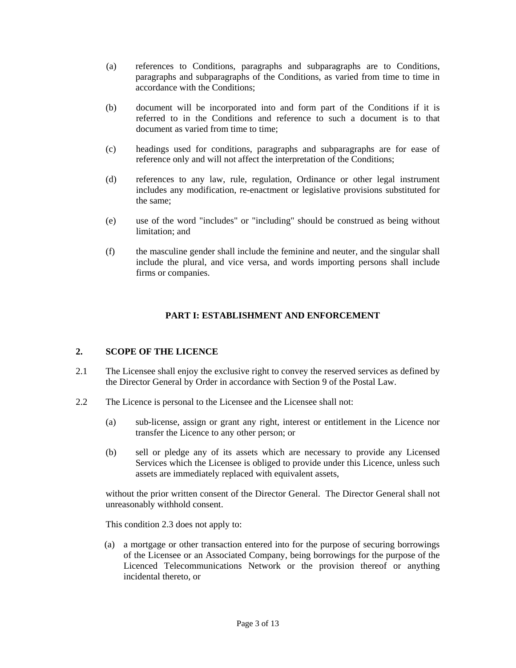- (a) references to Conditions, paragraphs and subparagraphs are to Conditions, paragraphs and subparagraphs of the Conditions, as varied from time to time in accordance with the Conditions;
- (b) document will be incorporated into and form part of the Conditions if it is referred to in the Conditions and reference to such a document is to that document as varied from time to time;
- (c) headings used for conditions, paragraphs and subparagraphs are for ease of reference only and will not affect the interpretation of the Conditions;
- (d) references to any law, rule, regulation, Ordinance or other legal instrument includes any modification, re-enactment or legislative provisions substituted for the same;
- (e) use of the word "includes" or "including" should be construed as being without limitation; and
- (f) the masculine gender shall include the feminine and neuter, and the singular shall include the plural, and vice versa, and words importing persons shall include firms or companies.

### **PART I: ESTABLISHMENT AND ENFORCEMENT**

#### **2. SCOPE OF THE LICENCE**

- 2.1 The Licensee shall enjoy the exclusive right to convey the reserved services as defined by the Director General by Order in accordance with Section 9 of the Postal Law.
- 2.2 The Licence is personal to the Licensee and the Licensee shall not:
	- (a) sub-license, assign or grant any right, interest or entitlement in the Licence nor transfer the Licence to any other person; or
	- (b) sell or pledge any of its assets which are necessary to provide any Licensed Services which the Licensee is obliged to provide under this Licence, unless such assets are immediately replaced with equivalent assets,

without the prior written consent of the Director General. The Director General shall not unreasonably withhold consent.

This condition 2.3 does not apply to:

(a) a mortgage or other transaction entered into for the purpose of securing borrowings of the Licensee or an Associated Company, being borrowings for the purpose of the Licenced Telecommunications Network or the provision thereof or anything incidental thereto, or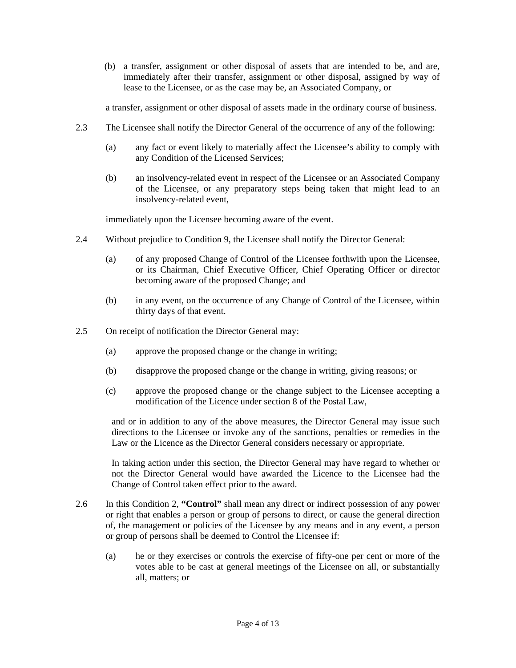(b) a transfer, assignment or other disposal of assets that are intended to be, and are, immediately after their transfer, assignment or other disposal, assigned by way of lease to the Licensee, or as the case may be, an Associated Company, or

a transfer, assignment or other disposal of assets made in the ordinary course of business.

- 2.3 The Licensee shall notify the Director General of the occurrence of any of the following:
	- (a) any fact or event likely to materially affect the Licensee's ability to comply with any Condition of the Licensed Services;
	- (b) an insolvency-related event in respect of the Licensee or an Associated Company of the Licensee, or any preparatory steps being taken that might lead to an insolvency-related event,

immediately upon the Licensee becoming aware of the event.

- 2.4 Without prejudice to Condition 9, the Licensee shall notify the Director General:
	- (a) of any proposed Change of Control of the Licensee forthwith upon the Licensee, or its Chairman, Chief Executive Officer, Chief Operating Officer or director becoming aware of the proposed Change; and
	- (b) in any event, on the occurrence of any Change of Control of the Licensee, within thirty days of that event.
- 2.5 On receipt of notification the Director General may:
	- (a) approve the proposed change or the change in writing;
	- (b) disapprove the proposed change or the change in writing, giving reasons; or
	- (c) approve the proposed change or the change subject to the Licensee accepting a modification of the Licence under section 8 of the Postal Law,

and or in addition to any of the above measures, the Director General may issue such directions to the Licensee or invoke any of the sanctions, penalties or remedies in the Law or the Licence as the Director General considers necessary or appropriate.

In taking action under this section, the Director General may have regard to whether or not the Director General would have awarded the Licence to the Licensee had the Change of Control taken effect prior to the award.

- 2.6 In this Condition 2, **"Control"** shall mean any direct or indirect possession of any power or right that enables a person or group of persons to direct, or cause the general direction of, the management or policies of the Licensee by any means and in any event, a person or group of persons shall be deemed to Control the Licensee if:
	- (a) he or they exercises or controls the exercise of fifty-one per cent or more of the votes able to be cast at general meetings of the Licensee on all, or substantially all, matters; or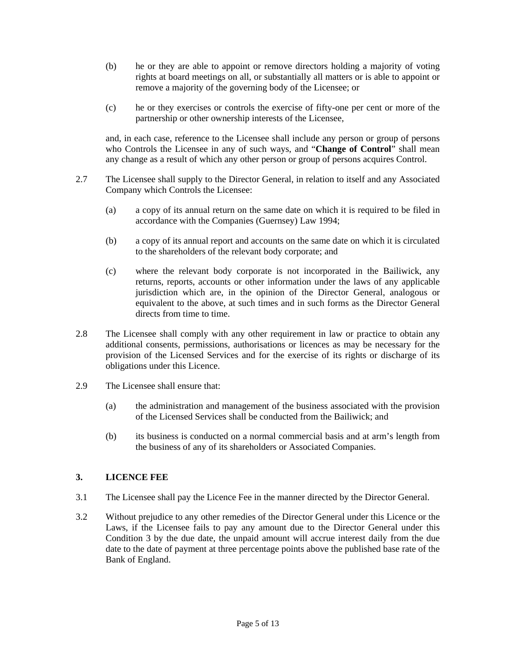- (b) he or they are able to appoint or remove directors holding a majority of voting rights at board meetings on all, or substantially all matters or is able to appoint or remove a majority of the governing body of the Licensee; or
- (c) he or they exercises or controls the exercise of fifty-one per cent or more of the partnership or other ownership interests of the Licensee,

and, in each case, reference to the Licensee shall include any person or group of persons who Controls the Licensee in any of such ways, and "**Change of Control**" shall mean any change as a result of which any other person or group of persons acquires Control.

- 2.7 The Licensee shall supply to the Director General, in relation to itself and any Associated Company which Controls the Licensee:
	- (a) a copy of its annual return on the same date on which it is required to be filed in accordance with the Companies (Guernsey) Law 1994;
	- (b) a copy of its annual report and accounts on the same date on which it is circulated to the shareholders of the relevant body corporate; and
	- (c) where the relevant body corporate is not incorporated in the Bailiwick, any returns, reports, accounts or other information under the laws of any applicable jurisdiction which are, in the opinion of the Director General, analogous or equivalent to the above, at such times and in such forms as the Director General directs from time to time.
- 2.8 The Licensee shall comply with any other requirement in law or practice to obtain any additional consents, permissions, authorisations or licences as may be necessary for the provision of the Licensed Services and for the exercise of its rights or discharge of its obligations under this Licence.
- 2.9 The Licensee shall ensure that:
	- (a) the administration and management of the business associated with the provision of the Licensed Services shall be conducted from the Bailiwick; and
	- (b) its business is conducted on a normal commercial basis and at arm's length from the business of any of its shareholders or Associated Companies.

#### **3. LICENCE FEE**

- 3.1 The Licensee shall pay the Licence Fee in the manner directed by the Director General.
- 3.2 Without prejudice to any other remedies of the Director General under this Licence or the Laws, if the Licensee fails to pay any amount due to the Director General under this Condition 3 by the due date, the unpaid amount will accrue interest daily from the due date to the date of payment at three percentage points above the published base rate of the Bank of England.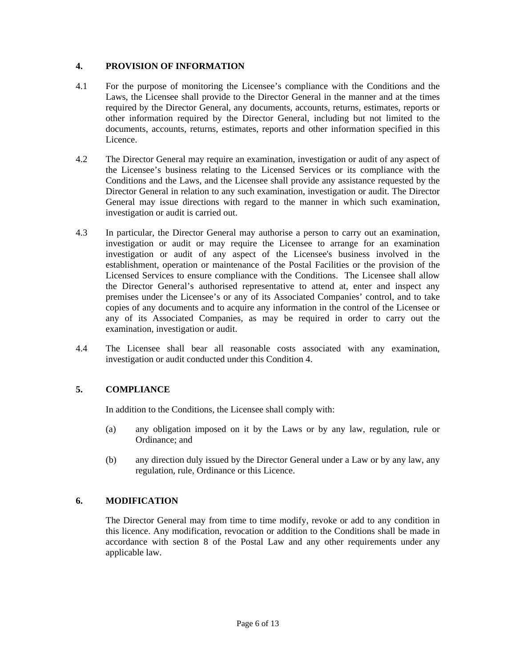#### **4. PROVISION OF INFORMATION**

- 4.1 For the purpose of monitoring the Licensee's compliance with the Conditions and the Laws, the Licensee shall provide to the Director General in the manner and at the times required by the Director General, any documents, accounts, returns, estimates, reports or other information required by the Director General, including but not limited to the documents, accounts, returns, estimates, reports and other information specified in this Licence.
- 4.2 The Director General may require an examination, investigation or audit of any aspect of the Licensee's business relating to the Licensed Services or its compliance with the Conditions and the Laws, and the Licensee shall provide any assistance requested by the Director General in relation to any such examination, investigation or audit. The Director General may issue directions with regard to the manner in which such examination, investigation or audit is carried out.
- 4.3 In particular, the Director General may authorise a person to carry out an examination, investigation or audit or may require the Licensee to arrange for an examination investigation or audit of any aspect of the Licensee's business involved in the establishment, operation or maintenance of the Postal Facilities or the provision of the Licensed Services to ensure compliance with the Conditions. The Licensee shall allow the Director General's authorised representative to attend at, enter and inspect any premises under the Licensee's or any of its Associated Companies' control, and to take copies of any documents and to acquire any information in the control of the Licensee or any of its Associated Companies, as may be required in order to carry out the examination, investigation or audit.
- 4.4 The Licensee shall bear all reasonable costs associated with any examination, investigation or audit conducted under this Condition 4.

### **5. COMPLIANCE**

In addition to the Conditions, the Licensee shall comply with:

- (a) any obligation imposed on it by the Laws or by any law, regulation, rule or Ordinance; and
- (b) any direction duly issued by the Director General under a Law or by any law, any regulation, rule, Ordinance or this Licence.

### **6. MODIFICATION**

The Director General may from time to time modify, revoke or add to any condition in this licence. Any modification, revocation or addition to the Conditions shall be made in accordance with section 8 of the Postal Law and any other requirements under any applicable law.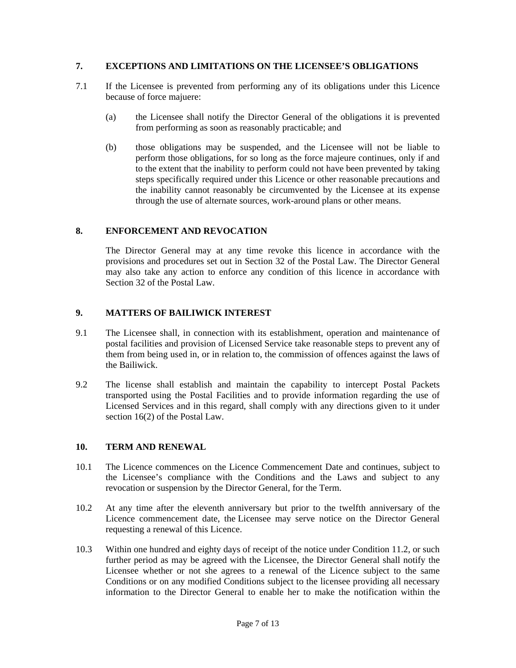#### **7. EXCEPTIONS AND LIMITATIONS ON THE LICENSEE'S OBLIGATIONS**

- 7.1 If the Licensee is prevented from performing any of its obligations under this Licence because of force majuere:
	- (a) the Licensee shall notify the Director General of the obligations it is prevented from performing as soon as reasonably practicable; and
	- (b) those obligations may be suspended, and the Licensee will not be liable to perform those obligations, for so long as the force majeure continues, only if and to the extent that the inability to perform could not have been prevented by taking steps specifically required under this Licence or other reasonable precautions and the inability cannot reasonably be circumvented by the Licensee at its expense through the use of alternate sources, work-around plans or other means.

#### **8. ENFORCEMENT AND REVOCATION**

The Director General may at any time revoke this licence in accordance with the provisions and procedures set out in Section 32 of the Postal Law. The Director General may also take any action to enforce any condition of this licence in accordance with Section 32 of the Postal Law.

#### **9. MATTERS OF BAILIWICK INTEREST**

- 9.1 The Licensee shall, in connection with its establishment, operation and maintenance of postal facilities and provision of Licensed Service take reasonable steps to prevent any of them from being used in, or in relation to, the commission of offences against the laws of the Bailiwick.
- 9.2 The license shall establish and maintain the capability to intercept Postal Packets transported using the Postal Facilities and to provide information regarding the use of Licensed Services and in this regard, shall comply with any directions given to it under section 16(2) of the Postal Law.

#### **10. TERM AND RENEWAL**

- 10.1 The Licence commences on the Licence Commencement Date and continues, subject to the Licensee's compliance with the Conditions and the Laws and subject to any revocation or suspension by the Director General, for the Term.
- 10.2 At any time after the eleventh anniversary but prior to the twelfth anniversary of the Licence commencement date, the Licensee may serve notice on the Director General requesting a renewal of this Licence.
- 10.3 Within one hundred and eighty days of receipt of the notice under Condition 11.2, or such further period as may be agreed with the Licensee, the Director General shall notify the Licensee whether or not she agrees to a renewal of the Licence subject to the same Conditions or on any modified Conditions subject to the licensee providing all necessary information to the Director General to enable her to make the notification within the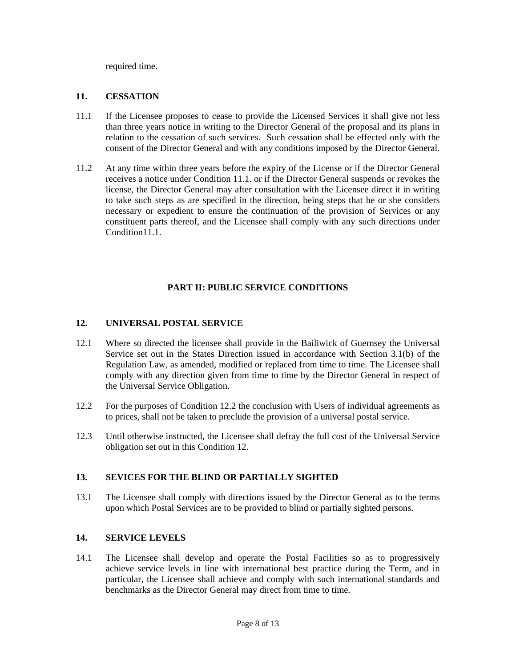required time.

#### **11. CESSATION**

- 11.1 If the Licensee proposes to cease to provide the Licensed Services it shall give not less than three years notice in writing to the Director General of the proposal and its plans in relation to the cessation of such services. Such cessation shall be effected only with the consent of the Director General and with any conditions imposed by the Director General.
- 11.2 At any time within three years before the expiry of the License or if the Director General receives a notice under Condition 11.1. or if the Director General suspends or revokes the license, the Director General may after consultation with the Licensee direct it in writing to take such steps as are specified in the direction, being steps that he or she considers necessary or expedient to ensure the continuation of the provision of Services or any constituent parts thereof, and the Licensee shall comply with any such directions under Condition11.1.

### **PART II: PUBLIC SERVICE CONDITIONS**

#### **12. UNIVERSAL POSTAL SERVICE**

- 12.1 Where so directed the licensee shall provide in the Bailiwick of Guernsey the Universal Service set out in the States Direction issued in accordance with Section 3.1(b) of the Regulation Law, as amended, modified or replaced from time to time. The Licensee shall comply with any direction given from time to time by the Director General in respect of the Universal Service Obligation.
- 12.2 For the purposes of Condition 12.2 the conclusion with Users of individual agreements as to prices, shall not be taken to preclude the provision of a universal postal service.
- 12.3 Until otherwise instructed, the Licensee shall defray the full cost of the Universal Service obligation set out in this Condition 12.

#### **13. SEVICES FOR THE BLIND OR PARTIALLY SIGHTED**

13.1 The Licensee shall comply with directions issued by the Director General as to the terms upon which Postal Services are to be provided to blind or partially sighted persons.

### **14. SERVICE LEVELS**

14.1 The Licensee shall develop and operate the Postal Facilities so as to progressively achieve service levels in line with international best practice during the Term, and in particular, the Licensee shall achieve and comply with such international standards and benchmarks as the Director General may direct from time to time.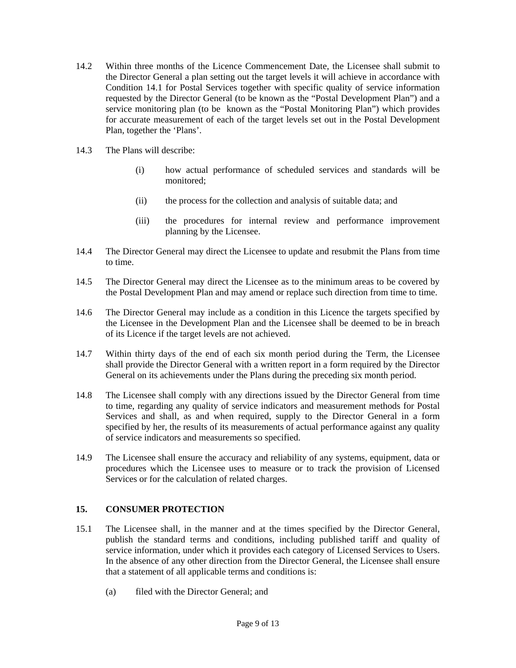- 14.2 Within three months of the Licence Commencement Date, the Licensee shall submit to the Director General a plan setting out the target levels it will achieve in accordance with Condition 14.1 for Postal Services together with specific quality of service information requested by the Director General (to be known as the "Postal Development Plan") and a service monitoring plan (to be known as the "Postal Monitoring Plan") which provides for accurate measurement of each of the target levels set out in the Postal Development Plan, together the 'Plans'.
- 14.3 The Plans will describe:
	- (i) how actual performance of scheduled services and standards will be monitored;
	- (ii) the process for the collection and analysis of suitable data; and
	- (iii) the procedures for internal review and performance improvement planning by the Licensee.
- 14.4 The Director General may direct the Licensee to update and resubmit the Plans from time to time.
- 14.5 The Director General may direct the Licensee as to the minimum areas to be covered by the Postal Development Plan and may amend or replace such direction from time to time.
- 14.6 The Director General may include as a condition in this Licence the targets specified by the Licensee in the Development Plan and the Licensee shall be deemed to be in breach of its Licence if the target levels are not achieved.
- 14.7 Within thirty days of the end of each six month period during the Term, the Licensee shall provide the Director General with a written report in a form required by the Director General on its achievements under the Plans during the preceding six month period.
- 14.8 The Licensee shall comply with any directions issued by the Director General from time to time, regarding any quality of service indicators and measurement methods for Postal Services and shall, as and when required, supply to the Director General in a form specified by her, the results of its measurements of actual performance against any quality of service indicators and measurements so specified.
- 14.9 The Licensee shall ensure the accuracy and reliability of any systems, equipment, data or procedures which the Licensee uses to measure or to track the provision of Licensed Services or for the calculation of related charges.

### **15. CONSUMER PROTECTION**

- 15.1 The Licensee shall, in the manner and at the times specified by the Director General, publish the standard terms and conditions, including published tariff and quality of service information, under which it provides each category of Licensed Services to Users. In the absence of any other direction from the Director General, the Licensee shall ensure that a statement of all applicable terms and conditions is:
	- (a) filed with the Director General; and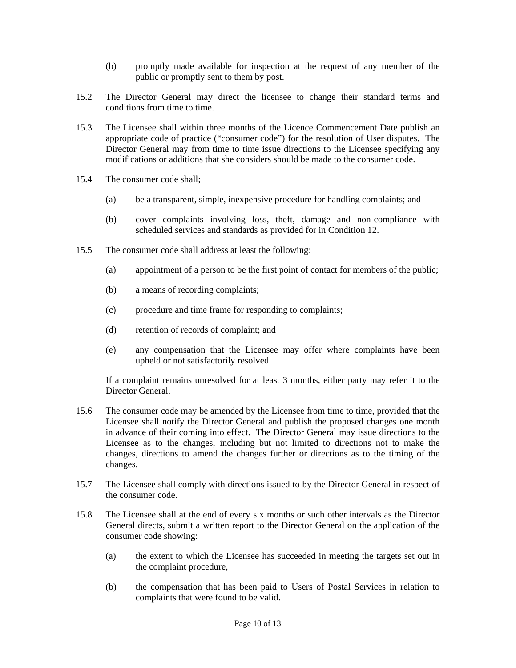- (b) promptly made available for inspection at the request of any member of the public or promptly sent to them by post.
- 15.2 The Director General may direct the licensee to change their standard terms and conditions from time to time.
- 15.3 The Licensee shall within three months of the Licence Commencement Date publish an appropriate code of practice ("consumer code") for the resolution of User disputes. The Director General may from time to time issue directions to the Licensee specifying any modifications or additions that she considers should be made to the consumer code.
- 15.4 The consumer code shall;
	- (a) be a transparent, simple, inexpensive procedure for handling complaints; and
	- (b) cover complaints involving loss, theft, damage and non-compliance with scheduled services and standards as provided for in Condition 12.
- 15.5 The consumer code shall address at least the following:
	- (a) appointment of a person to be the first point of contact for members of the public;
	- (b) a means of recording complaints;
	- (c) procedure and time frame for responding to complaints;
	- (d) retention of records of complaint; and
	- (e) any compensation that the Licensee may offer where complaints have been upheld or not satisfactorily resolved.

If a complaint remains unresolved for at least 3 months, either party may refer it to the Director General.

- 15.6 The consumer code may be amended by the Licensee from time to time, provided that the Licensee shall notify the Director General and publish the proposed changes one month in advance of their coming into effect. The Director General may issue directions to the Licensee as to the changes, including but not limited to directions not to make the changes, directions to amend the changes further or directions as to the timing of the changes.
- 15.7 The Licensee shall comply with directions issued to by the Director General in respect of the consumer code.
- 15.8 The Licensee shall at the end of every six months or such other intervals as the Director General directs, submit a written report to the Director General on the application of the consumer code showing:
	- (a) the extent to which the Licensee has succeeded in meeting the targets set out in the complaint procedure,
	- (b) the compensation that has been paid to Users of Postal Services in relation to complaints that were found to be valid.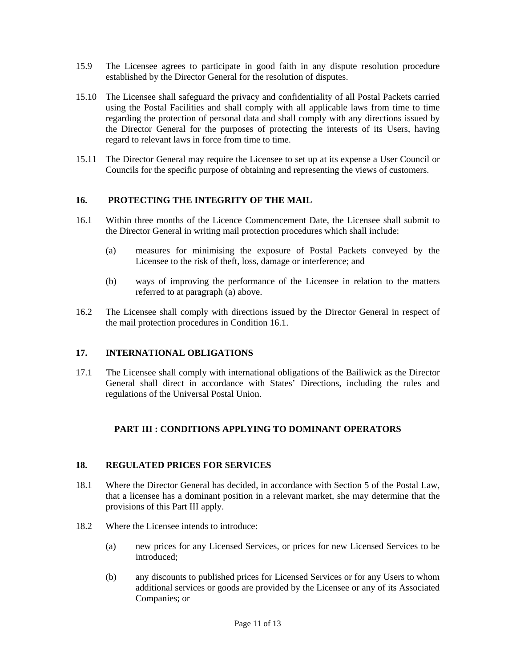- 15.9 The Licensee agrees to participate in good faith in any dispute resolution procedure established by the Director General for the resolution of disputes.
- 15.10 The Licensee shall safeguard the privacy and confidentiality of all Postal Packets carried using the Postal Facilities and shall comply with all applicable laws from time to time regarding the protection of personal data and shall comply with any directions issued by the Director General for the purposes of protecting the interests of its Users, having regard to relevant laws in force from time to time.
- 15.11 The Director General may require the Licensee to set up at its expense a User Council or Councils for the specific purpose of obtaining and representing the views of customers.

#### **16. PROTECTING THE INTEGRITY OF THE MAIL**

- 16.1 Within three months of the Licence Commencement Date, the Licensee shall submit to the Director General in writing mail protection procedures which shall include:
	- (a) measures for minimising the exposure of Postal Packets conveyed by the Licensee to the risk of theft, loss, damage or interference; and
	- (b) ways of improving the performance of the Licensee in relation to the matters referred to at paragraph (a) above.
- 16.2 The Licensee shall comply with directions issued by the Director General in respect of the mail protection procedures in Condition 16.1.

#### **17. INTERNATIONAL OBLIGATIONS**

17.1 The Licensee shall comply with international obligations of the Bailiwick as the Director General shall direct in accordance with States' Directions, including the rules and regulations of the Universal Postal Union.

#### **PART III : CONDITIONS APPLYING TO DOMINANT OPERATORS**

#### **18. REGULATED PRICES FOR SERVICES**

- 18.1 Where the Director General has decided, in accordance with Section 5 of the Postal Law, that a licensee has a dominant position in a relevant market, she may determine that the provisions of this Part III apply.
- 18.2 Where the Licensee intends to introduce:
	- (a) new prices for any Licensed Services, or prices for new Licensed Services to be introduced;
	- (b) any discounts to published prices for Licensed Services or for any Users to whom additional services or goods are provided by the Licensee or any of its Associated Companies; or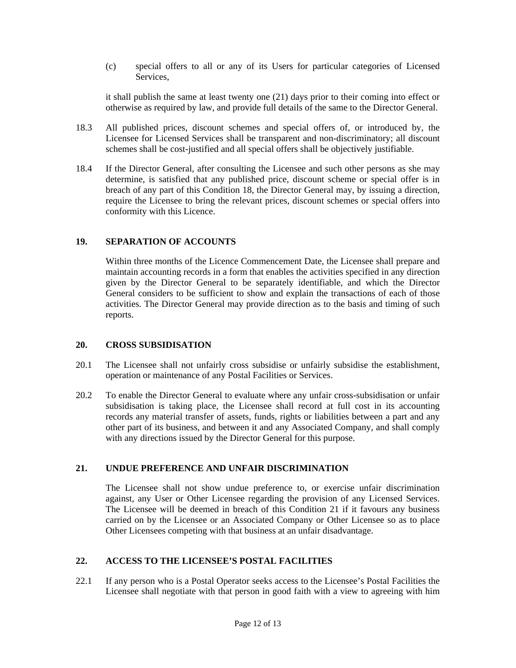(c) special offers to all or any of its Users for particular categories of Licensed Services,

it shall publish the same at least twenty one (21) days prior to their coming into effect or otherwise as required by law, and provide full details of the same to the Director General.

- 18.3 All published prices, discount schemes and special offers of, or introduced by, the Licensee for Licensed Services shall be transparent and non-discriminatory; all discount schemes shall be cost-justified and all special offers shall be objectively justifiable.
- 18.4 If the Director General, after consulting the Licensee and such other persons as she may determine, is satisfied that any published price, discount scheme or special offer is in breach of any part of this Condition 18, the Director General may, by issuing a direction, require the Licensee to bring the relevant prices, discount schemes or special offers into conformity with this Licence.

#### **19. SEPARATION OF ACCOUNTS**

Within three months of the Licence Commencement Date, the Licensee shall prepare and maintain accounting records in a form that enables the activities specified in any direction given by the Director General to be separately identifiable, and which the Director General considers to be sufficient to show and explain the transactions of each of those activities. The Director General may provide direction as to the basis and timing of such reports.

#### **20. CROSS SUBSIDISATION**

- 20.1 The Licensee shall not unfairly cross subsidise or unfairly subsidise the establishment, operation or maintenance of any Postal Facilities or Services.
- 20.2 To enable the Director General to evaluate where any unfair cross-subsidisation or unfair subsidisation is taking place, the Licensee shall record at full cost in its accounting records any material transfer of assets, funds, rights or liabilities between a part and any other part of its business, and between it and any Associated Company, and shall comply with any directions issued by the Director General for this purpose.

#### **21. UNDUE PREFERENCE AND UNFAIR DISCRIMINATION**

The Licensee shall not show undue preference to, or exercise unfair discrimination against, any User or Other Licensee regarding the provision of any Licensed Services. The Licensee will be deemed in breach of this Condition 21 if it favours any business carried on by the Licensee or an Associated Company or Other Licensee so as to place Other Licensees competing with that business at an unfair disadvantage.

#### **22. ACCESS TO THE LICENSEE'S POSTAL FACILITIES**

22.1 If any person who is a Postal Operator seeks access to the Licensee's Postal Facilities the Licensee shall negotiate with that person in good faith with a view to agreeing with him